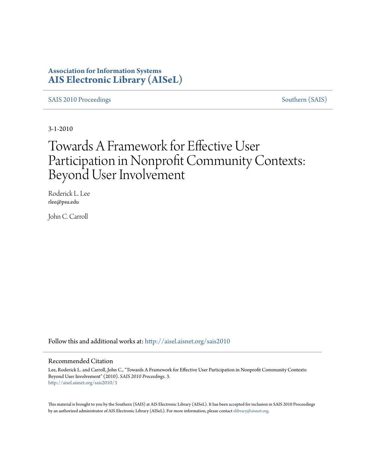### **Association for Information Systems [AIS Electronic Library \(AISeL\)](http://aisel.aisnet.org?utm_source=aisel.aisnet.org%2Fsais2010%2F3&utm_medium=PDF&utm_campaign=PDFCoverPages)**

[SAIS 2010 Proceedings](http://aisel.aisnet.org/sais2010?utm_source=aisel.aisnet.org%2Fsais2010%2F3&utm_medium=PDF&utm_campaign=PDFCoverPages) [Southern \(SAIS\)](http://aisel.aisnet.org/sais?utm_source=aisel.aisnet.org%2Fsais2010%2F3&utm_medium=PDF&utm_campaign=PDFCoverPages)

3-1-2010

# Towards A Framework for Effective User Participation in Nonprofit Community Contexts: Beyond User Involvement

Roderick L. Lee rlee@psu.edu

John C. Carroll

Follow this and additional works at: [http://aisel.aisnet.org/sais2010](http://aisel.aisnet.org/sais2010?utm_source=aisel.aisnet.org%2Fsais2010%2F3&utm_medium=PDF&utm_campaign=PDFCoverPages)

#### Recommended Citation

Lee, Roderick L. and Carroll, John C., "Towards A Framework for Effective User Participation in Nonprofit Community Contexts: Beyond User Involvement" (2010). *SAIS 2010 Proceedings*. 3. [http://aisel.aisnet.org/sais2010/3](http://aisel.aisnet.org/sais2010/3?utm_source=aisel.aisnet.org%2Fsais2010%2F3&utm_medium=PDF&utm_campaign=PDFCoverPages)

This material is brought to you by the Southern (SAIS) at AIS Electronic Library (AISeL). It has been accepted for inclusion in SAIS 2010 Proceedings by an authorized administrator of AIS Electronic Library (AISeL). For more information, please contact [elibrary@aisnet.org](mailto:elibrary@aisnet.org%3E).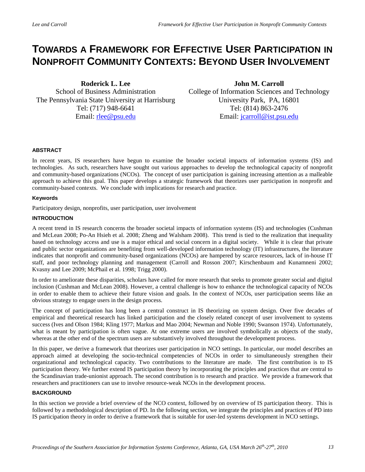## **TOWARDS A FRAMEWORK FOR EFFECTIVE USER PARTICIPATION IN NONPROFIT COMMUNITY CONTEXTS: BEYOND USER INVOLVEMENT**

**Roderick L. Lee** School of Business Administration The Pennsylvania State University at Harrisburg Tel: (717) 948-6641 Email: [rlee@psu.edu](mailto:rlee@psu.edu)

**John M. Carroll**  College of Information Sciences and Technology University Park, PA, 16801 Tel: (814) 863-2476 Email: [jcarroll@ist.psu.edu](mailto:jcarroll@ist.psu.edu)

#### **ABSTRACT**

In recent years, IS researchers have begun to examine the broader societal impacts of information systems (IS) and technologies. As such, researchers have sought out various approaches to develop the technological capacity of nonprofit and community-based organizations (NCOs). The concept of user participation is gaining increasing attention as a malleable approach to achieve this goal. This paper develops a strategic framework that theorizes user participation in nonprofit and community-based contexts. We conclude with implications for research and practice.

#### **Keywords**

Participatory design, nonprofits, user participation, user involvement

#### **INTRODUCTION**

A recent trend in IS research concerns the broader societal impacts of information systems (IS) and technologies (Cushman and McLean 2008; Po-An Hsieh et al. 2008; Zheng and Walsham 2008). This trend is tied to the realization that inequality based on technology access and use is a major ethical and social concern in a digital society. While it is clear that private and public sector organizations are benefiting from well-developed information technology (IT) infrastructures, the literature indicates that nonprofit and community-based organizations (NCOs) are hampered by scarce resources, lack of in-house IT staff, and poor technology planning and management (Carroll and Rosson 2007; Kirschenbaum and Kunamneni 2002; Kvasny and Lee 2009; McPhail et al. 1998; Trigg 2000).

In order to ameliorate these disparities, scholars have called for more research that seeks to promote greater social and digital inclusion (Cushman and McLean 2008). However, a central challenge is how to enhance the technological capacity of NCOs in order to enable them to achieve their future vision and goals. In the context of NCOs, user participation seems like an obvious strategy to engage users in the design process.

The concept of participation has long been a central construct in IS theorizing on system design. Over five decades of empirical and theoretical research has linked participation and the closely related concept of user involvement to systems success (Ives and Olson 1984; Kling 1977; Markus and Mao 2004; Newman and Noble 1990; Swanson 1974). Unfortunately, what is meant by participation is often vague. At one extreme users are involved symbolically as objects of the study, whereas at the other end of the spectrum users are substantively involved throughout the development process.

In this paper, we derive a framework that theorizes user participation in NCO settings. In particular, our model describes an approach aimed at developing the socio-technical competencies of NCOs in order to simultaneously strengthen their organizational and technological capacity. Two contributions to the literature are made. The first contribution is to IS participation theory. We further extend IS participation theory by incorporating the principles and practices that are central to the Scandinavian trade-unionist approach. The second contribution is to research and practice. We provide a framework that researchers and practitioners can use to involve resource-weak NCOs in the development process.

#### **BACKGROUND**

In this section we provide a brief overview of the NCO context, followed by on overview of IS participation theory. This is followed by a methodological description of PD. In the following section, we integrate the principles and practices of PD into IS participation theory in order to derive a framework that is suitable for user-led systems development in NCO settings.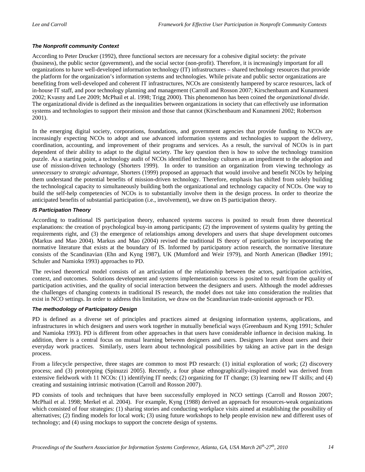#### *The Nonprofit community Context*

According to Peter Drucker (1992), three functional sectors are necessary for a cohesive digital society: the private (business), the public sector (government), and the social sector (non-profit). Therefore, it is increasingly important for all organizations to have well-developed information technology (IT) infrastructures – shared technology resources that provide the platform for the organization's information systems and technologies. While private and public sector organizations are benefiting from well-developed and coherent IT infrastructures, NCOs are consistently hampered by scarce resources, lack of in-house IT staff, and poor technology planning and management (Carroll and Rosson 2007; Kirschenbaum and Kunamneni 2002; Kvasny and Lee 2009; McPhail et al. 1998; Trigg 2000). This phenomenon has been coined the *organizational divide*. The organizational divide is defined as the inequalities between organizations in society that can effectively use information systems and technologies to support their mission and those that cannot (Kirschenbaum and Kunamneni 2002; Robertson 2001).

In the emerging digital society, corporations, foundations, and government agencies that provide funding to NCOs are increasingly expecting NCOs to adopt and use advanced information systems and technologies to support the delivery, coordination, accounting, and improvement of their programs and services. As a result, the survival of NCOs is in part dependent of their ability to adapt to the digital society. The key question then is how to solve the technology transition puzzle. As a starting point, a technology audit of NCOs identified technology cultures as an impediment to the adoption and use of mission-driven technology (Shorters 1999). In order to transition an organization from viewing technology as *unnecessary* to *strategic advantage,* Shorters (1999) proposed an approach that would involve and benefit NCOs by helping them understand the potential benefits of mission-driven technology. Therefore, emphasis has shifted from solely building the technological capacity to simultaneously building both the organizational and technology capacity of NCOs. One way to build the self-help competencies of NCOs is to substantially involve them in the design process. In order to theorize the anticipated benefits of substantial participation (i.e., involvement), we draw on IS participation theory.

#### *IS Participation Theory*

According to traditional IS participation theory, enhanced systems success is posited to result from three theoretical explanations: the creation of psychological buy-in among participants; (2) the improvement of systems quality by getting the requirements right, and (3) the emergence of relationships among developers and users that shape development outcomes (Markus and Mao 2004). Markus and Mao (2004) revised the traditional IS theory of participation by incorporating the normative literature that exists at the boundary of IS. Informed by participatory action research, the normative literature consists of the Scandinavian (Ehn and Kyng 1987), UK (Mumford and Weir 1979), and North American (Bødker 1991; Schuler and Namioka 1993) approaches to PD.

The revised theoretical model consists of an articulation of the relationship between the actors, participation activities, context, and outcomes. Solutions development and systems implementation success is posited to result from the quality of participation activities, and the quality of social interaction between the designers and users. Although the model addresses the challenges of changing contexts in traditional IS research, the model does not take into consideration the realities that exist in NCO settings. In order to address this limitation, we draw on the Scandinavian trade-unionist approach or PD.

#### *The methodology of Participatory Design*

PD is defined as a diverse set of principles and practices aimed at designing information systems, applications, and infrastructures in which designers and users work together in mutually beneficial ways (Greenbaum and Kyng 1991; Schuler and Namioka 1993). PD is different from other approaches in that users have considerable influence in decision making. In addition, there is a central focus on mutual learning between designers and users. Designers learn about users and their everyday work practices. Similarly, users learn about technological possibilities by taking an active part in the design process.

From a lifecycle perspective, three stages are common to most PD research: (1) initial exploration of work; (2) discovery process; and (3) prototyping (Spinuzzi 2005). Recently, a four phase ethnographically-inspired model was derived from extensive fieldwork with 11 NCOs: (1) identifying IT needs; (2) organizing for IT change; (3) learning new IT skills; and (4) creating and sustaining intrinsic motivation (Carroll and Rosson 2007).

PD consists of tools and techniques that have been successfully employed in NCO settings (Carroll and Rosson 2007; McPhail et al. 1998; Merkel et al. 2004). For example, Kyng (1988) derived an approach for resources-weak organizations which consisted of four strategies: (1) sharing stories and conducting workplace visits aimed at establishing the possibility of alternatives; (2) finding models for local work; (3) using future workshops to help people envision new and different uses of technology; and (4) using mockups to support the concrete design of systems.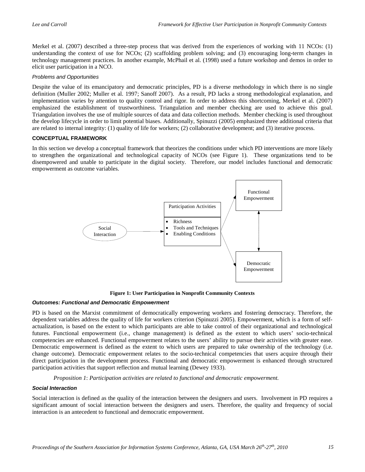Merkel et al. (2007) described a three-step process that was derived from the experiences of working with 11 NCOs: (1) understanding the context of use for NCOs; (2) scaffolding problem solving; and (3) encouraging long-term changes in technology management practices. In another example, McPhail et al. (1998) used a future workshop and demos in order to elicit user participation in a NCO.

#### *Problems and Opportunities*

Despite the value of its emancipatory and democratic principles, PD is a diverse methodology in which there is no single definition (Muller 2002; Muller et al. 1997; Sanoff 2007). As a result, PD lacks a strong methodological explanation, and implementation varies by attention to quality control and rigor. In order to address this shortcoming, Merkel et al. (2007) emphasized the establishment of trustworthiness. Triangulation and member checking are used to achieve this goal. Triangulation involves the use of multiple sources of data and data collection methods. Member checking is used throughout the develop lifecycle in order to limit potential biases. Additionally, Spinuzzi (2005) emphasized three additional criteria that are related to internal integrity: (1) quality of life for workers; (2) collaborative development; and (3) iterative process.

#### **CONCEPTUAL FRAMEWORK**

In this section we develop a conceptual framework that theorizes the conditions under which PD interventions are more likely to strengthen the organizational and technological capacity of NCOs (see Figure 1). These organizations tend to be disempowered and unable to participate in the digital society. Therefore, our model includes functional and democratic empowerment as outcome variables.



**Figure 1: User Participation in Nonprofit Community Contexts** 

#### *Outcomes: Functional and Democratic Empowerment*

PD is based on the Marxist commitment of democratically empowering workers and fostering democracy. Therefore, the dependent variables address the quality of life for workers criterion (Spinuzzi 2005). Empowerment, which is a form of selfactualization, is based on the extent to which participants are able to take control of their organizational and technological futures. Functional empowerment (i.e., change management) is defined as the extent to which users' socio-technical competencies are enhanced. Functional empowerment relates to the users' ability to pursue their activities with greater ease. Democratic empowerment is defined as the extent to which users are prepared to take ownership of the technology (i.e. change outcome). Democratic empowerment relates to the socio-technical competencies that users acquire through their direct participation in the development process. Functional and democratic empowerment is enhanced through structured participation activities that support reflection and mutual learning (Dewey 1933).

*Proposition 1*: *Participation activities are related to functional and democratic empowerment.* 

#### *Social Interaction*

Social interaction is defined as the quality of the interaction between the designers and users. Involvement in PD requires a significant amount of social interaction between the designers and users. Therefore, the quality and frequency of social interaction is an antecedent to functional and democratic empowerment.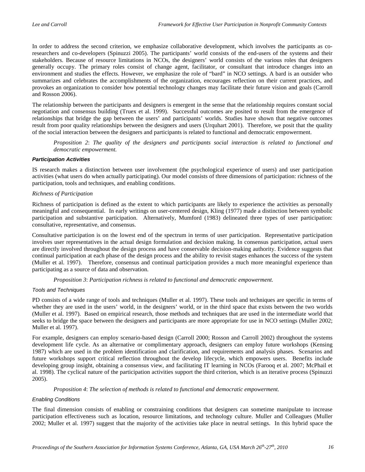In order to address the second criterion, we emphasize collaborative development, which involves the participants as coresearchers and co-developers (Spinuzzi 2005). The participants' world consists of the end-users of the systems and their stakeholders. Because of resource limitations in NCOs, the designers' world consists of the various roles that designers generally occupy. The primary roles consist of change agent, facilitator, or consultant that introduce changes into an environment and studies the effects. However, we emphasize the role of "bard" in NCO settings. A bard is an outsider who summarizes and celebrates the accomplishments of the organization, encourages reflection on their current practices, and provokes an organization to consider how potential technology changes may facilitate their future vision and goals (Carroll and Rosson 2006).

The relationship between the participants and designers is emergent in the sense that the relationship requires constant social negotiation and consensus building (Truex et al. 1999). Successful outcomes are posited to result from the emergence of relationships that bridge the gap between the users' and participants' worlds. Studies have shown that negative outcomes result from poor quality relationships between the designers and users (Urquhart 2001). Therefore, we posit that the quality of the social interaction between the designers and participants is related to functional and democratic empowerment.

*Proposition 2*: *The quality of the designers and participants social interaction is related to functional and democratic empowerment.* 

#### *Participation Activities*

IS research makes a distinction between user involvement (the psychological experience of users) and user participation activities (what users do when actually participating). Our model consists of three dimensions of participation: richness of the participation, tools and techniques, and enabling conditions.

#### *Richness of Participation*

Richness of participation is defined as the extent to which participants are likely to experience the activities as personally meaningful and consequential. In early writings on user-centered design, Kling (1977) made a distinction between symbolic participation and substantive participation. Alternatively, Mumford (1983) delineated three types of user participation: consultative, representative, and consensus.

Consultative participation is on the lowest end of the spectrum in terms of user participation. Representative participation involves user representatives in the actual design formulation and decision making. In consensus participation, actual users are directly involved throughout the design process and have conservable decision-making authority. Evidence suggests that continual participation at each phase of the design process and the ability to revisit stages enhances the success of the system (Muller et al. 1997). Therefore, consensus and continual participation provides a much more meaningful experience than participating as a source of data and observation.

*Proposition 3*: *Participation richness is related to functional and democratic empowerment.* 

#### *Tools and Techniques*

PD consists of a wide range of tools and techniques (Muller et al. 1997). These tools and techniques are specific in terms of whether they are used in the users' world, in the designers' world, or in the third space that exists between the two worlds (Muller et al. 1997). Based on empirical research, those methods and techniques that are used in the intermediate world that seeks to bridge the space between the designers and participants are more appropriate for use in NCO settings (Muller 2002; Muller et al. 1997).

For example, designers can employ scenario-based design (Carroll 2000; Rosson and Carroll 2002) throughout the systems development life cycle. As an alternative or complimentary approach, designers can employ future workshops (Kensing 1987) which are used in the problem identification and clarification, and requirements and analysis phases. Scenarios and future workshops support critical reflection throughout the develop lifecycle, which empowers users. Benefits include developing group insight, obtaining a consensus view, and facilitating IT learning in NCOs (Farooq et al. 2007; McPhail et al. 1998). The cyclical nature of the participation activities support the third criterion, which is an iterative process (Spinuzzi 2005).

*Proposition 4*: *The selection of methods is related to functional and democratic empowerment.* 

#### *Enabling Conditions*

The final dimension consists of enabling or constraining conditions that designers can sometime manipulate to increase participation effectiveness such as location, resource limitations, and technology culture. Muller and Colleagues (Muller 2002; Muller et al. 1997) suggest that the majority of the activities take place in neutral settings. In this hybrid space the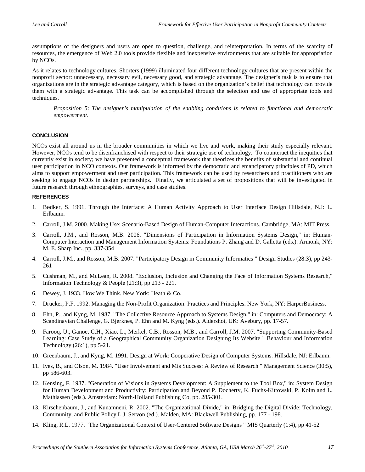assumptions of the designers and users are open to question, challenge, and reinterpretation. In terms of the scarcity of resources, the emergence of Web 2.0 tools provide flexible and inexpensive environments that are suitable for appropriation by NCOs.

As it relates to technology cultures, Shorters (1999) illuminated four different technology cultures that are present within the nonprofit sector: unnecessary, necessary evil, necessary good, and strategic advantage. The designer's task is to ensure that organizations are in the strategic advantage category, which is based on the organization's belief that technology can provide them with a strategic advantage. This task can be accomplished through the selection and use of appropriate tools and techniques.

*Proposition 5*: *The designer's manipulation of the enabling conditions is related to functional and democratic empowerment.* 

#### **CONCLUSION**

NCOs exist all around us in the broader communities in which we live and work, making their study especially relevant. However, NCOs tend to be disenfranchised with respect to their strategic use of technology. To counteract the inequities that currently exist in society; we have presented a conceptual framework that theorizes the benefits of substantial and continual user participation in NCO contexts. Our framework is informed by the democratic and emancipatory principles of PD, which aims to support empowerment and user participation. This framework can be used by researchers and practitioners who are seeking to engage NCOs in design partnerships. Finally, we articulated a set of propositions that will be investigated in future research through ethnographies, surveys, and case studies.

#### **REFERENCES**

- 1. Bødker, S. 1991. Through the Interface: A Human Activity Approach to User Interface Design Hillsdale, N.J: L. Erlbaum.
- 2. Carroll, J.M. 2000. Making Use: Scenario-Based Design of Human-Computer Interactions. Cambridge, MA: MIT Press.
- 3. Carroll, J.M., and Rosson, M.B. 2006. "Dimensions of Participation in Information Systems Design," in: Human-Computer Interaction and Management Information Systems: Foundations P. Zhang and D. Galletta (eds.). Armonk, NY: M. E. Sharp Inc., pp. 337-354
- 4. Carroll, J.M., and Rosson, M.B. 2007. "Participatory Design in Community Informatics " Design Studies (28:3), pp 243- 261
- 5. Cushman, M., and McLean, R. 2008. "Exclusion, Inclusion and Changing the Face of Information Systems Research," Information Technology & People (21:3), pp 213 - 221.
- 6. Dewey, J. 1933. How We Think. New York: Heath & Co.
- 7. Drucker, P.F. 1992. Managing the Non-Profit Organization: Practices and Principles. New York, NY: HarperBusiness.
- 8. Ehn, P., and Kyng, M. 1987. "The Collective Resource Approach to Systems Design," in: Computers and Democracy: A Scandinavian Challenge, G. Bjerknes, P. Ehn and M. Kyng (eds.). Aldershot, UK: Avebury, pp. 17-57.
- 9. Farooq, U., Ganoe, C.H., Xiao, L., Merkel, C.B., Rosson, M.B., and Carroll, J.M. 2007. "Supporting Community-Based Learning: Case Study of a Geographical Community Organization Designing Its Website " Behaviour and Information Technology (26:1), pp 5-21.
- 10. Greenbaum, J., and Kyng, M. 1991. Design at Work: Cooperative Design of Computer Systems. Hillsdale, NJ: Erlbaum.
- 11. Ives, B., and Olson, M. 1984. "User Involvement and Mis Success: A Review of Research " Management Science (30:5), pp 586-603.
- 12. Kensing, F. 1987. "Generation of Visions in Systems Development: A Supplement to the Tool Box," in: System Design for Human Development and Productivity: Participation and Beyond P. Docherty, K. Fuchs-Kittowski, P. Kolm and L. Mathiassen (eds.). Amsterdam: North-Holland Publishing Co, pp. 285-301.
- 13. Kirschenbaum, J., and Kunamneni, R. 2002. "The Organizational Divide," in: Bridging the Digital Divide: Technology, Community, and Public Policy L.J. Servon (ed.). Malden, MA: Blackwell Publishing, pp. 177 - 198.
- 14. Kling, R.L. 1977. "The Organizational Context of User-Centered Software Designs " MIS Quarterly (1:4), pp 41-52